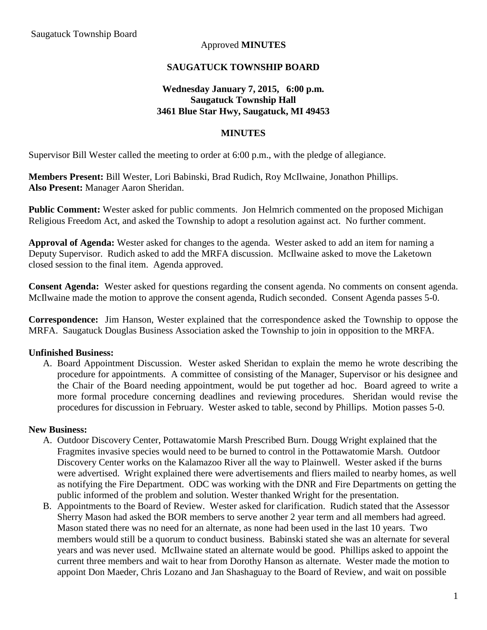#### Approved **MINUTES**

#### **SAUGATUCK TOWNSHIP BOARD**

## **Wednesday January 7, 2015, 6:00 p.m. Saugatuck Township Hall 3461 Blue Star Hwy, Saugatuck, MI 49453**

#### **MINUTES**

Supervisor Bill Wester called the meeting to order at 6:00 p.m., with the pledge of allegiance.

**Members Present:** Bill Wester, Lori Babinski, Brad Rudich, Roy McIlwaine, Jonathon Phillips. **Also Present:** Manager Aaron Sheridan.

**Public Comment:** Wester asked for public comments. Jon Helmrich commented on the proposed Michigan Religious Freedom Act, and asked the Township to adopt a resolution against act. No further comment.

**Approval of Agenda:** Wester asked for changes to the agenda. Wester asked to add an item for naming a Deputy Supervisor. Rudich asked to add the MRFA discussion. McIlwaine asked to move the Laketown closed session to the final item. Agenda approved.

**Consent Agenda:** Wester asked for questions regarding the consent agenda. No comments on consent agenda. McIlwaine made the motion to approve the consent agenda, Rudich seconded. Consent Agenda passes 5-0.

**Correspondence:** Jim Hanson, Wester explained that the correspondence asked the Township to oppose the MRFA. Saugatuck Douglas Business Association asked the Township to join in opposition to the MRFA.

## **Unfinished Business:**

A. Board Appointment Discussion. Wester asked Sheridan to explain the memo he wrote describing the procedure for appointments. A committee of consisting of the Manager, Supervisor or his designee and the Chair of the Board needing appointment, would be put together ad hoc. Board agreed to write a more formal procedure concerning deadlines and reviewing procedures. Sheridan would revise the procedures for discussion in February. Wester asked to table, second by Phillips. Motion passes 5-0.

#### **New Business:**

- A. Outdoor Discovery Center, Pottawatomie Marsh Prescribed Burn. Dougg Wright explained that the Fragmites invasive species would need to be burned to control in the Pottawatomie Marsh. Outdoor Discovery Center works on the Kalamazoo River all the way to Plainwell. Wester asked if the burns were advertised. Wright explained there were advertisements and fliers mailed to nearby homes, as well as notifying the Fire Department. ODC was working with the DNR and Fire Departments on getting the public informed of the problem and solution. Wester thanked Wright for the presentation.
- B. Appointments to the Board of Review. Wester asked for clarification. Rudich stated that the Assessor Sherry Mason had asked the BOR members to serve another 2 year term and all members had agreed. Mason stated there was no need for an alternate, as none had been used in the last 10 years. Two members would still be a quorum to conduct business. Babinski stated she was an alternate for several years and was never used. McIlwaine stated an alternate would be good. Phillips asked to appoint the current three members and wait to hear from Dorothy Hanson as alternate. Wester made the motion to appoint Don Maeder, Chris Lozano and Jan Shashaguay to the Board of Review, and wait on possible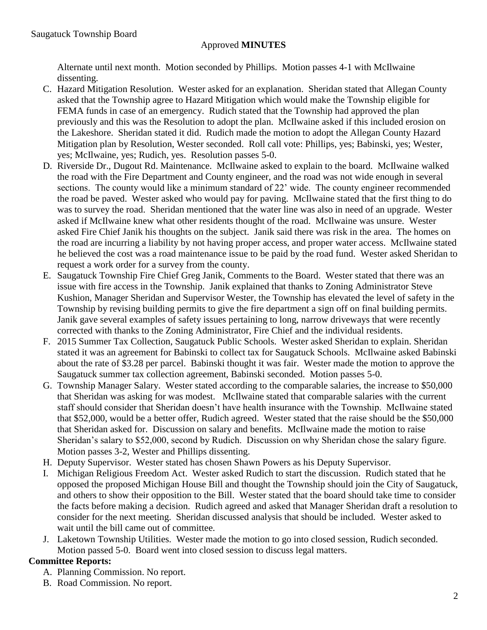# Approved **MINUTES**

Alternate until next month. Motion seconded by Phillips. Motion passes 4-1 with McIlwaine dissenting.

- C. Hazard Mitigation Resolution. Wester asked for an explanation. Sheridan stated that Allegan County asked that the Township agree to Hazard Mitigation which would make the Township eligible for FEMA funds in case of an emergency. Rudich stated that the Township had approved the plan previously and this was the Resolution to adopt the plan. McIlwaine asked if this included erosion on the Lakeshore. Sheridan stated it did. Rudich made the motion to adopt the Allegan County Hazard Mitigation plan by Resolution, Wester seconded. Roll call vote: Phillips, yes; Babinski, yes; Wester, yes; McIlwaine, yes; Rudich, yes. Resolution passes 5-0.
- D. Riverside Dr., Dugout Rd. Maintenance. McIlwaine asked to explain to the board. McIlwaine walked the road with the Fire Department and County engineer, and the road was not wide enough in several sections. The county would like a minimum standard of 22' wide. The county engineer recommended the road be paved. Wester asked who would pay for paving. McIlwaine stated that the first thing to do was to survey the road. Sheridan mentioned that the water line was also in need of an upgrade. Wester asked if McIlwaine knew what other residents thought of the road. McIlwaine was unsure. Wester asked Fire Chief Janik his thoughts on the subject. Janik said there was risk in the area. The homes on the road are incurring a liability by not having proper access, and proper water access. McIlwaine stated he believed the cost was a road maintenance issue to be paid by the road fund. Wester asked Sheridan to request a work order for a survey from the county.
- E. Saugatuck Township Fire Chief Greg Janik, Comments to the Board. Wester stated that there was an issue with fire access in the Township. Janik explained that thanks to Zoning Administrator Steve Kushion, Manager Sheridan and Supervisor Wester, the Township has elevated the level of safety in the Township by revising building permits to give the fire department a sign off on final building permits. Janik gave several examples of safety issues pertaining to long, narrow driveways that were recently corrected with thanks to the Zoning Administrator, Fire Chief and the individual residents.
- F. 2015 Summer Tax Collection, Saugatuck Public Schools. Wester asked Sheridan to explain. Sheridan stated it was an agreement for Babinski to collect tax for Saugatuck Schools. McIlwaine asked Babinski about the rate of \$3.28 per parcel. Babinski thought it was fair. Wester made the motion to approve the Saugatuck summer tax collection agreement, Babinski seconded. Motion passes 5-0.
- G. Township Manager Salary. Wester stated according to the comparable salaries, the increase to \$50,000 that Sheridan was asking for was modest. McIlwaine stated that comparable salaries with the current staff should consider that Sheridan doesn't have health insurance with the Township. McIlwaine stated that \$52,000, would be a better offer, Rudich agreed. Wester stated that the raise should be the \$50,000 that Sheridan asked for. Discussion on salary and benefits. McIlwaine made the motion to raise Sheridan's salary to \$52,000, second by Rudich. Discussion on why Sheridan chose the salary figure. Motion passes 3-2, Wester and Phillips dissenting.
- H. Deputy Supervisor. Wester stated has chosen Shawn Powers as his Deputy Supervisor.
- I. Michigan Religious Freedom Act. Wester asked Rudich to start the discussion. Rudich stated that he opposed the proposed Michigan House Bill and thought the Township should join the City of Saugatuck, and others to show their opposition to the Bill. Wester stated that the board should take time to consider the facts before making a decision. Rudich agreed and asked that Manager Sheridan draft a resolution to consider for the next meeting. Sheridan discussed analysis that should be included. Wester asked to wait until the bill came out of committee.
- J. Laketown Township Utilities. Wester made the motion to go into closed session, Rudich seconded. Motion passed 5-0. Board went into closed session to discuss legal matters.

# **Committee Reports:**

- A. Planning Commission. No report.
- B. Road Commission. No report.